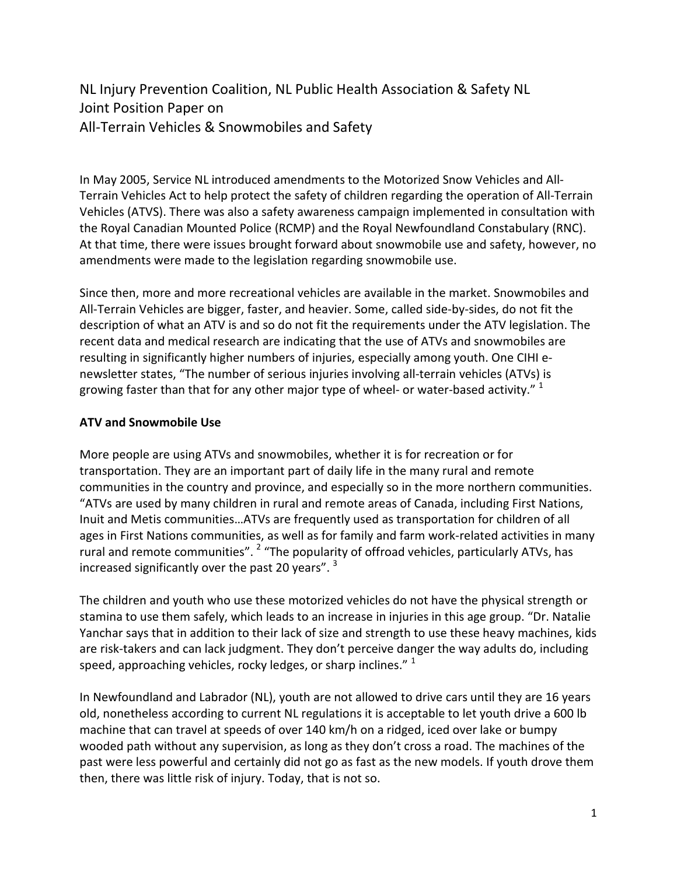NL Injury Prevention Coalition, NL Public Health Association & Safety NL Joint Position Paper on All-Terrain Vehicles & Snowmobiles and Safety

In May 2005, Service NL introduced amendments to the Motorized Snow Vehicles and All-Terrain Vehicles Act to help protect the safety of children regarding the operation of All-Terrain Vehicles (ATVS). There was also a safety awareness campaign implemented in consultation with the Royal Canadian Mounted Police (RCMP) and the Royal Newfoundland Constabulary (RNC). At that time, there were issues brought forward about snowmobile use and safety, however, no amendments were made to the legislation regarding snowmobile use.

Since then, more and more recreational vehicles are available in the market. Snowmobiles and All-Terrain Vehicles are bigger, faster, and heavier. Some, called side-by-sides, do not fit the description of what an ATV is and so do not fit the requirements under the ATV legislation. The recent data and medical research are indicating that the use of ATVs and snowmobiles are resulting in significantly higher numbers of injuries, especially among youth. One CIHI enewsletter states, "The number of serious injuries involving all-terrain vehicles (ATVs) is growing faster than that for any other major type of wheel- or water-based activity."  $1$ 

#### ATV and Snowmobile Use

More people are using ATVs and snowmobiles, whether it is for recreation or for transportation. They are an important part of daily life in the many rural and remote communities in the country and province, and especially so in the more northern communities. "ATVs are used by many children in rural and remote areas of Canada, including First Nations, Inuit and Metis communities…ATVs are frequently used as transportation for children of all ages in First Nations communities, as well as for family and farm work-related activities in many rural and remote communities". <sup>2</sup> "The popularity of offroad vehicles, particularly ATVs, has increased significantly over the past 20 years".<sup>3</sup>

The children and youth who use these motorized vehicles do not have the physical strength or stamina to use them safely, which leads to an increase in injuries in this age group. "Dr. Natalie Yanchar says that in addition to their lack of size and strength to use these heavy machines, kids are risk-takers and can lack judgment. They don't perceive danger the way adults do, including speed, approaching vehicles, rocky ledges, or sharp inclines."  $1$ 

In Newfoundland and Labrador (NL), youth are not allowed to drive cars until they are 16 years old, nonetheless according to current NL regulations it is acceptable to let youth drive a 600 lb machine that can travel at speeds of over 140 km/h on a ridged, iced over lake or bumpy wooded path without any supervision, as long as they don't cross a road. The machines of the past were less powerful and certainly did not go as fast as the new models. If youth drove them then, there was little risk of injury. Today, that is not so.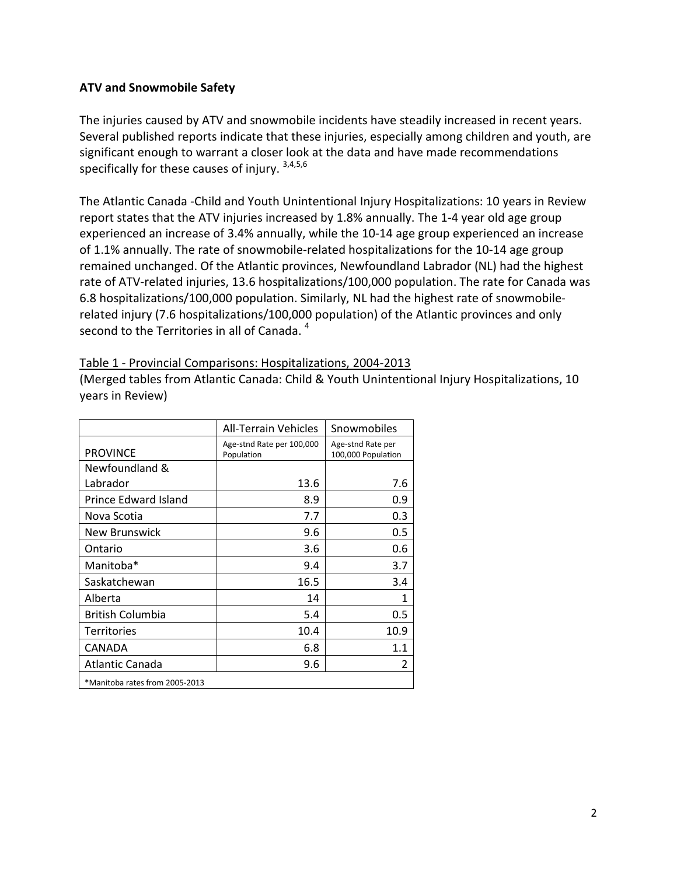#### ATV and Snowmobile Safety

The injuries caused by ATV and snowmobile incidents have steadily increased in recent years. Several published reports indicate that these injuries, especially among children and youth, are significant enough to warrant a closer look at the data and have made recommendations specifically for these causes of injury. 3,4,5,6

The Atlantic Canada -Child and Youth Unintentional Injury Hospitalizations: 10 years in Review report states that the ATV injuries increased by 1.8% annually. The 1-4 year old age group experienced an increase of 3.4% annually, while the 10-14 age group experienced an increase of 1.1% annually. The rate of snowmobile-related hospitalizations for the 10-14 age group remained unchanged. Of the Atlantic provinces, Newfoundland Labrador (NL) had the highest rate of ATV-related injuries, 13.6 hospitalizations/100,000 population. The rate for Canada was 6.8 hospitalizations/100,000 population. Similarly, NL had the highest rate of snowmobilerelated injury (7.6 hospitalizations/100,000 population) of the Atlantic provinces and only second to the Territories in all of Canada. <sup>4</sup>

#### Table 1 - Provincial Comparisons: Hospitalizations, 2004-2013

(Merged tables from Atlantic Canada: Child & Youth Unintentional Injury Hospitalizations, 10 years in Review)

|                                | All-Terrain Vehicles                    | Snowmobiles                             |
|--------------------------------|-----------------------------------------|-----------------------------------------|
| <b>PROVINCE</b>                | Age-stnd Rate per 100,000<br>Population | Age-stnd Rate per<br>100,000 Population |
| Newfoundland &                 |                                         |                                         |
| Labrador                       | 13.6                                    | 7.6                                     |
| Prince Edward Island           | 8.9                                     | 0.9                                     |
| Nova Scotia                    | 7.7                                     | 0.3                                     |
| <b>New Brunswick</b>           | 9.6                                     | 0.5                                     |
| Ontario                        | 3.6                                     | 0.6                                     |
| Manitoba*                      | 9.4                                     | 3.7                                     |
| Saskatchewan                   | 16.5                                    | 3.4                                     |
| Alberta                        | 14                                      | 1                                       |
| <b>British Columbia</b>        | 5.4                                     | 0.5                                     |
| <b>Territories</b>             | 10.4                                    | 10.9                                    |
| CANADA                         | 6.8                                     | 1.1                                     |
| Atlantic Canada                | 9.6                                     | 2                                       |
| *Manitoba rates from 2005-2013 |                                         |                                         |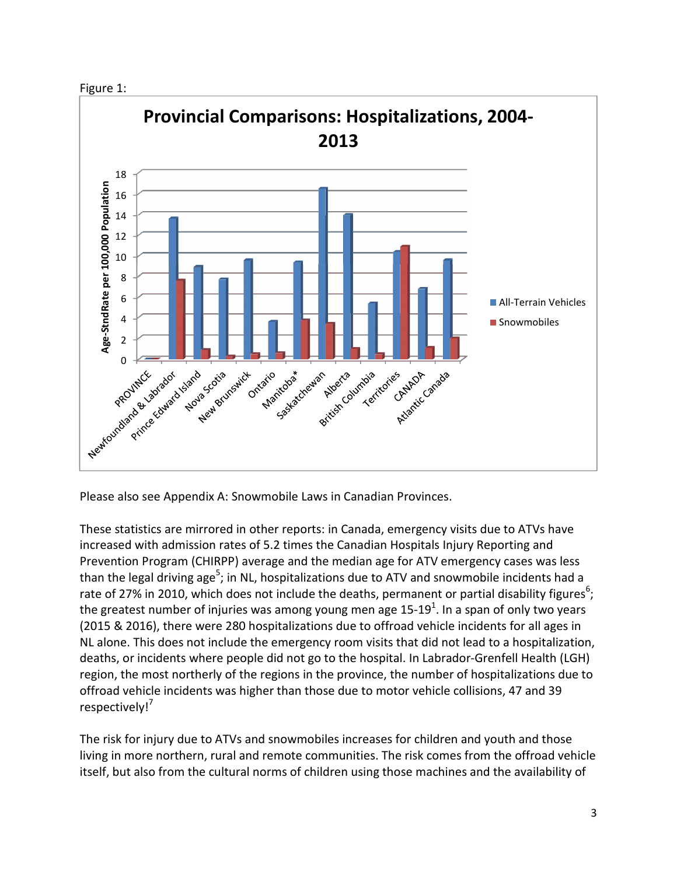



Please also see Appendix A: Snowmobile Laws in Canadian Provinces.

These statistics are mirrored in other reports: in Canada, emergency visits due to ATVs have increased with admission rates of 5.2 times the Canadian Hospitals Injury Reporting and Prevention Program (CHIRPP) average and the median age for ATV emergency cases was less than the legal driving age<sup>5</sup>; in NL, hospitalizations due to ATV and snowmobile incidents had a rate of 27% in 2010, which does not include the deaths, permanent or partial disability figures<sup>6</sup>; the greatest number of injuries was among young men age 15-19<sup>1</sup>. In a span of only two years (2015 & 2016), there were 280 hospitalizations due to offroad vehicle incidents for all ages in NL alone. This does not include the emergency room visits that did not lead to a hospitalization, deaths, or incidents where people did not go to the hospital. In Labrador-Grenfell Health (LGH) region, the most northerly of the regions in the province, the number of hospitalizations due to offroad vehicle incidents was higher than those due to motor vehicle collisions, 47 and 39 respectively!<sup>7</sup>

The risk for injury due to ATVs and snowmobiles increases for children and youth and those living in more northern, rural and remote communities. The risk comes from the offroad vehicle itself, but also from the cultural norms of children using those machines and the availability of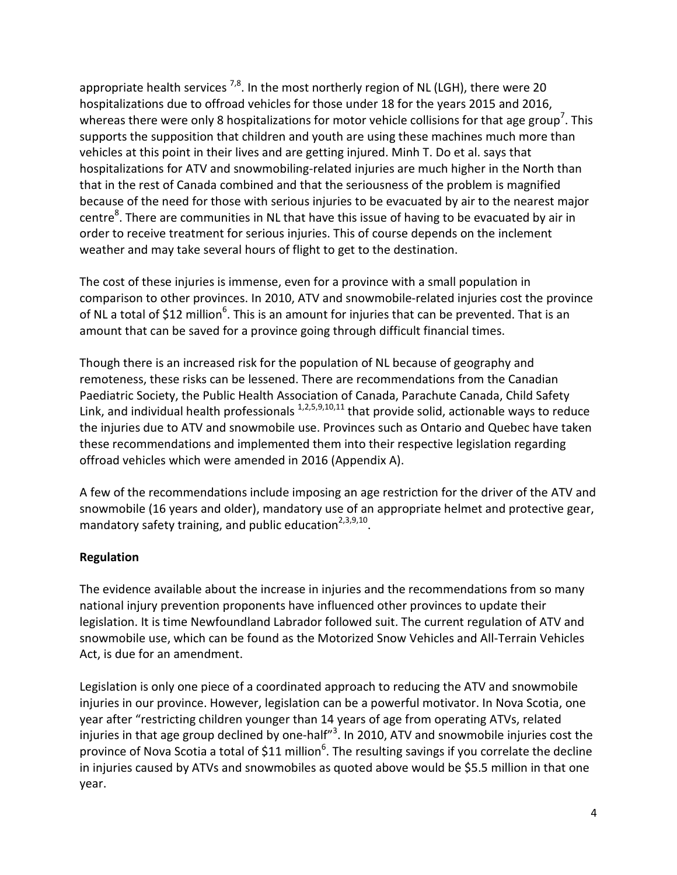appropriate health services  $^{7,8}$ . In the most northerly region of NL (LGH), there were 20 hospitalizations due to offroad vehicles for those under 18 for the years 2015 and 2016, whereas there were only 8 hospitalizations for motor vehicle collisions for that age group<sup>7</sup>. This supports the supposition that children and youth are using these machines much more than vehicles at this point in their lives and are getting injured. Minh T. Do et al. says that hospitalizations for ATV and snowmobiling-related injuries are much higher in the North than that in the rest of Canada combined and that the seriousness of the problem is magnified because of the need for those with serious injuries to be evacuated by air to the nearest major centre<sup>8</sup>. There are communities in NL that have this issue of having to be evacuated by air in order to receive treatment for serious injuries. This of course depends on the inclement weather and may take several hours of flight to get to the destination.

The cost of these injuries is immense, even for a province with a small population in comparison to other provinces. In 2010, ATV and snowmobile-related injuries cost the province of NL a total of \$12 million<sup>6</sup>. This is an amount for injuries that can be prevented. That is an amount that can be saved for a province going through difficult financial times.

Though there is an increased risk for the population of NL because of geography and remoteness, these risks can be lessened. There are recommendations from the Canadian Paediatric Society, the Public Health Association of Canada, Parachute Canada, Child Safety Link, and individual health professionals  $1,2,5,9,10,11$  that provide solid, actionable ways to reduce the injuries due to ATV and snowmobile use. Provinces such as Ontario and Quebec have taken these recommendations and implemented them into their respective legislation regarding offroad vehicles which were amended in 2016 (Appendix A).

A few of the recommendations include imposing an age restriction for the driver of the ATV and snowmobile (16 years and older), mandatory use of an appropriate helmet and protective gear, mandatory safety training, and public education $2,3,9,10$ .

# Regulation

The evidence available about the increase in injuries and the recommendations from so many national injury prevention proponents have influenced other provinces to update their legislation. It is time Newfoundland Labrador followed suit. The current regulation of ATV and snowmobile use, which can be found as the Motorized Snow Vehicles and All-Terrain Vehicles Act, is due for an amendment.

Legislation is only one piece of a coordinated approach to reducing the ATV and snowmobile injuries in our province. However, legislation can be a powerful motivator. In Nova Scotia, one year after "restricting children younger than 14 years of age from operating ATVs, related injuries in that age group declined by one-half"<sup>3</sup>. In 2010, ATV and snowmobile injuries cost the province of Nova Scotia a total of \$11 million<sup>6</sup>. The resulting savings if you correlate the decline in injuries caused by ATVs and snowmobiles as quoted above would be \$5.5 million in that one year.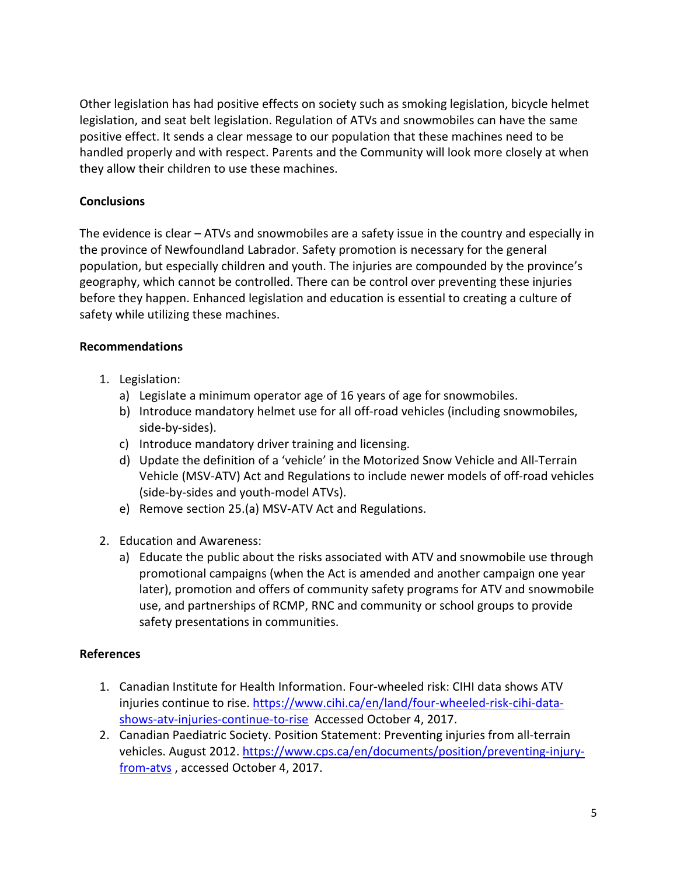Other legislation has had positive effects on society such as smoking legislation, bicycle helmet legislation, and seat belt legislation. Regulation of ATVs and snowmobiles can have the same positive effect. It sends a clear message to our population that these machines need to be handled properly and with respect. Parents and the Community will look more closely at when they allow their children to use these machines.

# **Conclusions**

The evidence is clear – ATVs and snowmobiles are a safety issue in the country and especially in the province of Newfoundland Labrador. Safety promotion is necessary for the general population, but especially children and youth. The injuries are compounded by the province's geography, which cannot be controlled. There can be control over preventing these injuries before they happen. Enhanced legislation and education is essential to creating a culture of safety while utilizing these machines.

# Recommendations

- 1. Legislation:
	- a) Legislate a minimum operator age of 16 years of age for snowmobiles.
	- b) Introduce mandatory helmet use for all off-road vehicles (including snowmobiles, side-by-sides).
	- c) Introduce mandatory driver training and licensing.
	- d) Update the definition of a 'vehicle' in the Motorized Snow Vehicle and All-Terrain Vehicle (MSV-ATV) Act and Regulations to include newer models of off-road vehicles (side-by-sides and youth-model ATVs).
	- e) Remove section 25.(a) MSV-ATV Act and Regulations.
- 2. Education and Awareness:
	- a) Educate the public about the risks associated with ATV and snowmobile use through promotional campaigns (when the Act is amended and another campaign one year later), promotion and offers of community safety programs for ATV and snowmobile use, and partnerships of RCMP, RNC and community or school groups to provide safety presentations in communities.

# References

- 1. Canadian Institute for Health Information. Four-wheeled risk: CIHI data shows ATV injuries continue to rise. https://www.cihi.ca/en/land/four-wheeled-risk-cihi-datashows-atv-injuries-continue-to-rise Accessed October 4, 2017.
- 2. Canadian Paediatric Society. Position Statement: Preventing injuries from all-terrain vehicles. August 2012. https://www.cps.ca/en/documents/position/preventing-injuryfrom-atvs , accessed October 4, 2017.